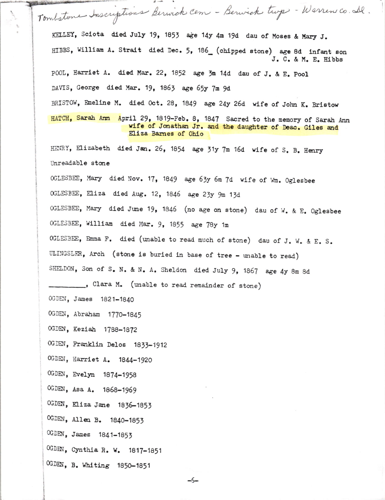Tombstone Inscriptions Berwick Cem - Berwick tup - Warren co. Il. KELLEY, Sciota died July 19, 1853 age 14y 4m 19d dau of Moses & Mary J. HIBBS, William A. Strait died Dec. 5, 186 (chipped stone) age 8d infant son J. C. & M. E. Hibbs POOL, Harriet A. died Mar. 22, 1852 age 3m 14d dau of J. & E. Pool DAVIS, George died Mar. 19, 1863 age 65y 7m 9d BRISTOW, Emeline M. died Oct. 28, 1849 age 24y 26d wife of John K. Bristow HATCH, Sarah Ann April 29, 1819-Feb. 8, 1847 Sacred to the memory of Sarah Ann wife of Jonathan Jr. and the daughter of Deac. Giles and Eliza Barnes of Ohio HENRY, Elizabeth died Jan. 26, 1854 age 31y 7m 16d wife of S. B. Henry Unreadable stone OCLESBEE, Mary died Nov. 17, 1849 age 63y 6m 7d wife of Wm. Oglesbee OGLESBEE, Eliza died Aug. 12, 1846 age 23y 9m 13d OGLESBEE, Mary died June 19, 1846 (no age on stone) dau of W. & E. Oglesbee OGLESBEE, William died Mar. 9, 1855 age 78y 1m OGLESBEE, Emma F. died (unable to read much of stone) dau of J. W. & E. S. ULINGSLER, Arch (stone is buried in base of tree - unable to read) SHELDON, Son of S. N. & N. A. Sheldon died July 9, 1867 age 4y 8m 8d ..., Clara M. (unable to read remainder of stone) OGDEN, James 1821-1840 OGDEN, Abraham 1770-1845 OGDEN, Keziah 1788-1872 OGDEN, Franklin Delos 1833-1912 OGDEN, Harriet A. 1844-1920 OGDEN, Evelyn 1874-1958 OGDEN, Asa A. 1868-1969 0GDEN, Eliza Jane 1836-1853 OGDEN, Allen B. 1840-1853 OGDEN, James 1841-1853 OGDEN, Cynthia R. W. 1817-1851 OGDEN, B. Whiting 1850-1851  $-5-$